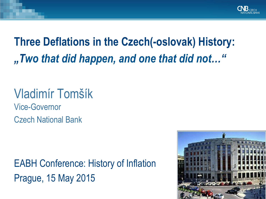

## **Three Deflations in the Czech(-oslovak) History:**  *"Two that did happen, and one that did not…"*

# Vladimír Tomšík Vice-Governor

Czech National Bank

EABH Conference: History of Inflation Prague, 15 May 2015

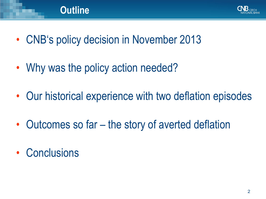

- CNB's policy decision in November 2013
- Why was the policy action needed?

- Our historical experience with two deflation episodes
- Outcomes so far the story of averted deflation
- Conclusions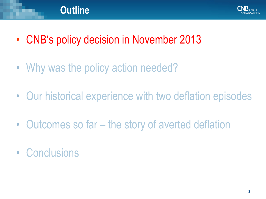

- CNB's policy decision in November 2013
- Why was the policy action needed?

- Our historical experience with two deflation episodes
- Outcomes so far the story of averted deflation
- Conclusions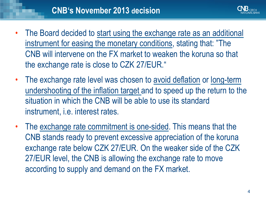

- The Board decided to start using the exchange rate as an additional instrument for easing the monetary conditions, stating that: "The CNB will intervene on the FX market to weaken the koruna so that the exchange rate is close to CZK 27/EUR."
- The exchange rate level was chosen to avoid deflation or long-term undershooting of the inflation target and to speed up the return to the situation in which the CNB will be able to use its standard instrument, i.e. interest rates.
- The exchange rate commitment is one-sided. This means that the CNB stands ready to prevent excessive appreciation of the koruna exchange rate below CZK 27/EUR. On the weaker side of the CZK 27/EUR level, the CNB is allowing the exchange rate to move according to supply and demand on the FX market.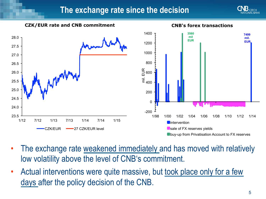





- The exchange rate weakened immediately and has moved with relatively low volatility above the level of CNB's commitment.
- Actual interventions were quite massive, but took place only for a few days after the policy decision of the CNB.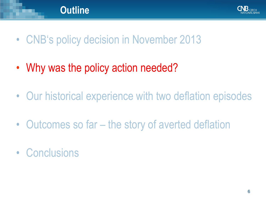

- CNB's policy decision in November 2013
- Why was the policy action needed?

- Our historical experience with two deflation episodes
- Outcomes so far the story of averted deflation
- Conclusions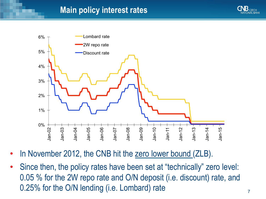#### **Main policy interest rates**





- In November 2012, the CNB hit the zero lower bound (ZLB).
- Since then, the policy rates have been set at "technically" zero level: 0.05 % for the 2W repo rate and O/N deposit (i.e. discount) rate, and 0.25% for the O/N lending (i.e. Lombard) rate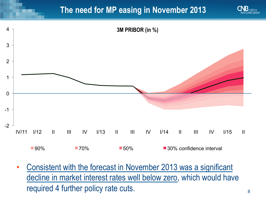#### **The need for MP easing in November 2013**





• Consistent with the forecast in November 2013 was a significant decline in market interest rates well below zero, which would have required 4 further policy rate cuts.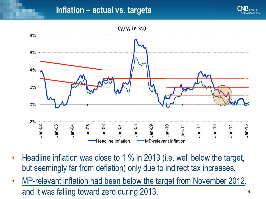



- Headline inflation was close to 1 % in 2013 (i.e. well below the target, but seemingly far from deflation) only due to indirect tax increases.
- MP-relevant inflation had been below the target from November 2012, and it was falling toward zero during 2013.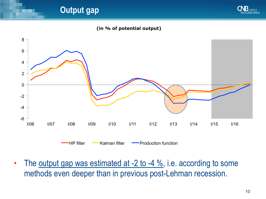**Output gap** 



#### **(in % of potential output)**



HP filter **- Kalman filter - Production function** 

• The output gap was estimated at  $-2$  to  $-4\%$ , i.e. according to some methods even deeper than in previous post-Lehman recession.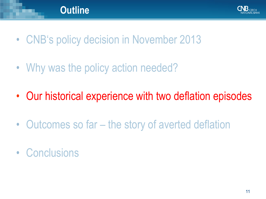

- CNB's policy decision in November 2013
- Why was the policy action needed?

- Our historical experience with two deflation episodes
- Outcomes so far the story of averted deflation
- Conclusions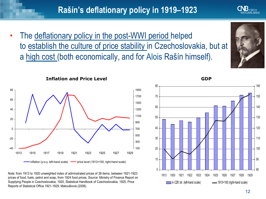Note: from 1913 to 1920 unweighted index of adminstrated prices of 38 items, between 1921-1923 prices of food, fuels, petrol and soap, from 1924 food prices. Source: Ministry of Finance Report on Supplying People in Czechoslovakia, 1920, Statistical Handbook of Czechoslovakia, 1925, Price Reports of Statistical Office 1921-1929, Matoušková (2008).

The deflationary policy in the post-WWI period helped to establish the culture of price stability in Czechoslovakia, but at a high cost (both economically, and for Alois Rašín himself).





1920 1921 1922 1923 1924 1925 1926 1927 1928 1929

.

in CZK bil. (left-hand scale) 1913=100 (right-hand scale)

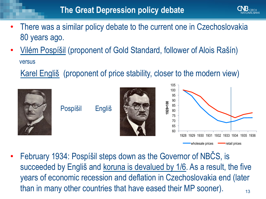- There was a similar policy debate to the current one in Czechoslovakia 80 years ago.
- Vilém Pospíšil (proponent of Gold Standard, follower of Alois Rašín) versus

Karel Engliš (proponent of price stability, closer to the modern view)



Pospíšil Engliš





13 • February 1934: Pospíšil steps down as the Governor of NBČS, is succeeded by Engliš and koruna is devalued by 1/6. As a result, the five years of economic recession and deflation in Czechoslovakia end (later than in many other countries that have eased their MP sooner).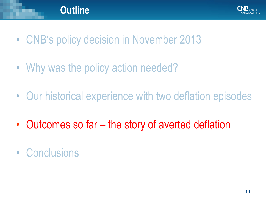

- CNB's policy decision in November 2013
- Why was the policy action needed?

- Our historical experience with two deflation episodes
- Outcomes so far the story of averted deflation
- Conclusions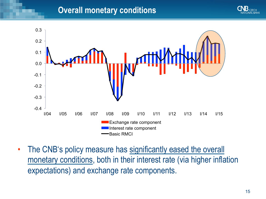#### **Overall monetary conditions**





• The CNB's policy measure has significantly eased the overall monetary conditions, both in their interest rate (via higher inflation expectations) and exchange rate components.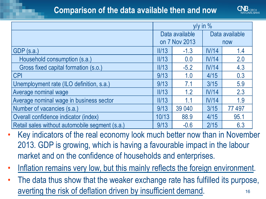#### **Comparison of the data available then and now**



|                                                | $y/y$ in $%$                    |        |                |        |
|------------------------------------------------|---------------------------------|--------|----------------|--------|
|                                                | Data available<br>on 7 Nov 2013 |        | Data available |        |
|                                                |                                 |        | now            |        |
| GDP(s.a.)                                      | III/13                          | $-1.3$ | IV/14          | 1.4    |
| Household consumption (s.a.)                   | II/13                           | 0.0    | IV/14          | 2.0    |
| Gross fixed capital formation (s.o.)           | III/13                          | $-5.2$ | IV/14          | 4.3    |
| <b>CPI</b>                                     | 9/13                            | 1.0    | 4/15           | 0.3    |
| Unemployment rate (ILO definition, s.a.)       | 9/13                            | 7.1    | 3/15           | 5.9    |
| Average nominal wage                           | III/13                          | 1.2    | IV/14          | 2.3    |
| Average nominal wage in business sector        | II/13                           | 1.1    | IV/14          | 1.9    |
| Number of vacancies (s.a.)                     | 9/13                            | 39 040 | 3/15           | 77 497 |
| Overall confidence indicator (index)           | 10/13                           | 88.9   | 4/15           | 95.1   |
| Retail sales without automobile segment (s.a.) | 9/13                            | $-0.6$ | 2/15           | 6.3    |

- Key indicators of the real economy look much better now than in November 2013. GDP is growing, which is having a favourable impact in the labour market and on the confidence of households and enterprises.
- Inflation remains very low, but this mainly reflects the foreign environment.
- 16 The data thus show that the weaker exchange rate has fulfilled its purpose, averting the risk of deflation driven by insufficient demand.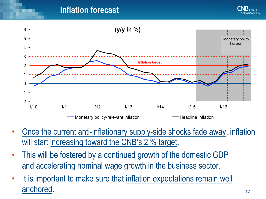#### **Inflation forecast**





- Once the current anti-inflationary supply-side shocks fade away, inflation will start increasing toward the CNB's 2 % target.
- This will be fostered by a continued growth of the domestic GDP and accelerating nominal wage growth in the business sector.
- It is important to make sure that inflation expectations remain well anchored.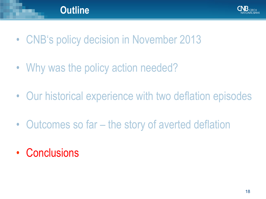

- CNB's policy decision in November 2013
- Why was the policy action needed?

- Our historical experience with two deflation episodes
- Outcomes so far the story of averted deflation
- Conclusions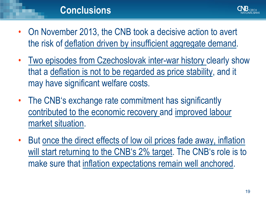

- On November 2013, the CNB took a decisive action to avert the risk of deflation driven by insufficient aggregate demand.
- Two episodes from Czechoslovak inter-war history clearly show that a deflation is not to be regarded as price stability, and it may have significant welfare costs.
- The CNB's exchange rate commitment has significantly contributed to the economic recovery and improved labour market situation.
- But once the direct effects of low oil prices fade away, inflation will start returning to the CNB's 2% target. The CNB's role is to make sure that inflation expectations remain well anchored.